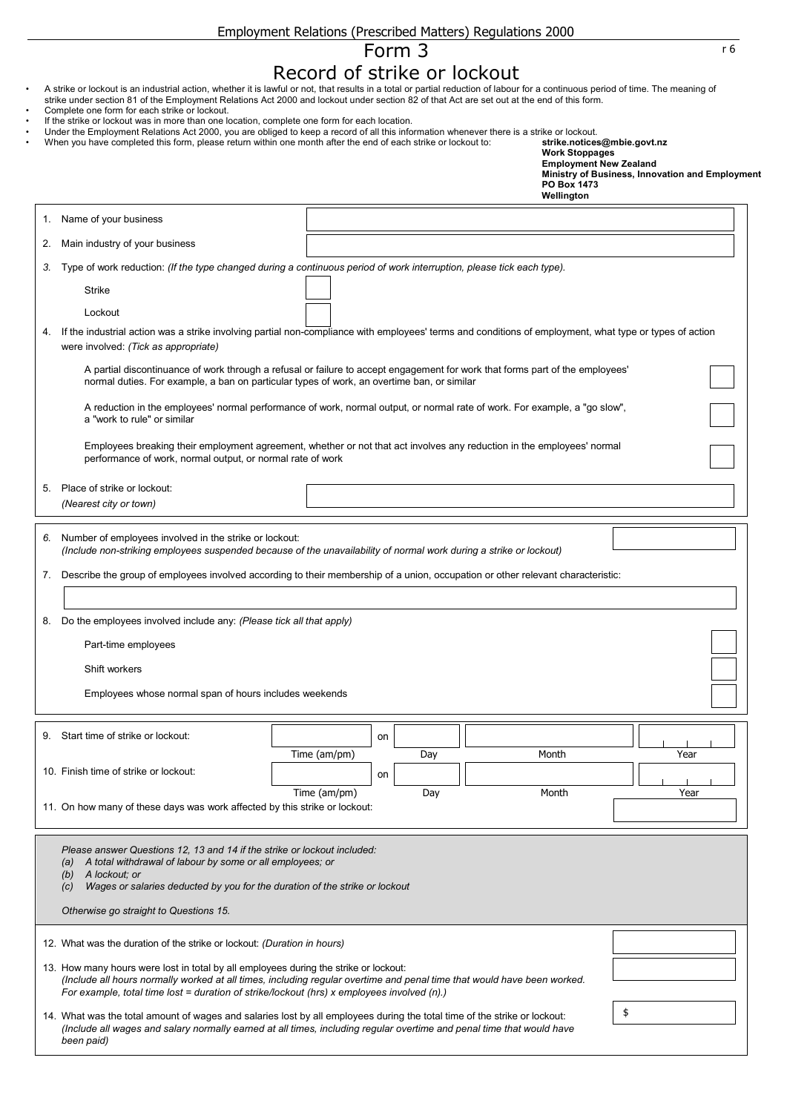| Employment Relations (Prescribed Matters) Regulations 2000 |  |  |  |
|------------------------------------------------------------|--|--|--|
|------------------------------------------------------------|--|--|--|

## Form 3 r6 Record of strike or lockout

- A strike or lockout is an industrial action, whether it is lawful or not, that results in a total or partial reduction of labour for a continuous period of time. The meaning of strike under section 81 of the Employment Relations Act 2000 and lockout under section 82 of that Act are set out at the end of this form.
- Complete one form for each strike or lockout.
- If the strike or lockout was in more than one location, complete one form for each location.
- Under the Employment Relations Act 2000, you are obliged to keep a record of all this information whenever there is a strike or lockout.
- When you have completed this form, please return within one month after the end of each strike or lockout to: **strike.notices@mbie.govt.nz**

|    |                                                                                                                                                                                                                                                                                                               |              |    |     | <b>PO Box 1473</b><br>Wellington |      |  |  |  |
|----|---------------------------------------------------------------------------------------------------------------------------------------------------------------------------------------------------------------------------------------------------------------------------------------------------------------|--------------|----|-----|----------------------------------|------|--|--|--|
| 1. | Name of your business                                                                                                                                                                                                                                                                                         |              |    |     |                                  |      |  |  |  |
| 2. | Main industry of your business                                                                                                                                                                                                                                                                                |              |    |     |                                  |      |  |  |  |
| 3. | Type of work reduction: (If the type changed during a continuous period of work interruption, please tick each type).                                                                                                                                                                                         |              |    |     |                                  |      |  |  |  |
|    | <b>Strike</b>                                                                                                                                                                                                                                                                                                 |              |    |     |                                  |      |  |  |  |
|    | Lockout                                                                                                                                                                                                                                                                                                       |              |    |     |                                  |      |  |  |  |
| 4. | If the industrial action was a strike involving partial non-compliance with employees' terms and conditions of employment, what type or types of action<br>were involved: (Tick as appropriate)                                                                                                               |              |    |     |                                  |      |  |  |  |
|    | A partial discontinuance of work through a refusal or failure to accept engagement for work that forms part of the employees'<br>normal duties. For example, a ban on particular types of work, an overtime ban, or similar                                                                                   |              |    |     |                                  |      |  |  |  |
|    | A reduction in the employees' normal performance of work, normal output, or normal rate of work. For example, a "go slow",<br>a "work to rule" or similar                                                                                                                                                     |              |    |     |                                  |      |  |  |  |
|    | Employees breaking their employment agreement, whether or not that act involves any reduction in the employees' normal<br>performance of work, normal output, or normal rate of work                                                                                                                          |              |    |     |                                  |      |  |  |  |
| 5. | Place of strike or lockout:<br>(Nearest city or town)                                                                                                                                                                                                                                                         |              |    |     |                                  |      |  |  |  |
| 6. | Number of employees involved in the strike or lockout:<br>(Include non-striking employees suspended because of the unavailability of normal work during a strike or lockout)                                                                                                                                  |              |    |     |                                  |      |  |  |  |
| 7. | Describe the group of employees involved according to their membership of a union, occupation or other relevant characteristic:                                                                                                                                                                               |              |    |     |                                  |      |  |  |  |
|    |                                                                                                                                                                                                                                                                                                               |              |    |     |                                  |      |  |  |  |
| 8. | Do the employees involved include any: (Please tick all that apply)                                                                                                                                                                                                                                           |              |    |     |                                  |      |  |  |  |
|    | Part-time employees                                                                                                                                                                                                                                                                                           |              |    |     |                                  |      |  |  |  |
|    | Shift workers                                                                                                                                                                                                                                                                                                 |              |    |     |                                  |      |  |  |  |
|    | Employees whose normal span of hours includes weekends                                                                                                                                                                                                                                                        |              |    |     |                                  |      |  |  |  |
|    | 9. Start time of strike or lockout:                                                                                                                                                                                                                                                                           |              | on |     |                                  |      |  |  |  |
|    |                                                                                                                                                                                                                                                                                                               | Time (am/pm) |    | Day | Month                            | Year |  |  |  |
|    | 10. Finish time of strike or lockout:                                                                                                                                                                                                                                                                         |              | on |     |                                  |      |  |  |  |
|    | Month<br>Year<br>Time (am/pm)<br>Day<br>11. On how many of these days was work affected by this strike or lockout:                                                                                                                                                                                            |              |    |     |                                  |      |  |  |  |
|    | Please answer Questions 12, 13 and 14 if the strike or lockout included:<br>A total withdrawal of labour by some or all employees; or<br>(a)<br>A lockout; or<br>(b)<br>Wages or salaries deducted by you for the duration of the strike or lockout<br>(c)                                                    |              |    |     |                                  |      |  |  |  |
|    | Otherwise go straight to Questions 15.                                                                                                                                                                                                                                                                        |              |    |     |                                  |      |  |  |  |
|    | 12. What was the duration of the strike or lockout: (Duration in hours)                                                                                                                                                                                                                                       |              |    |     |                                  |      |  |  |  |
|    | 13. How many hours were lost in total by all employees during the strike or lockout:<br>(Include all hours normally worked at all times, including regular overtime and penal time that would have been worked.<br>For example, total time lost = duration of strike/lockout (hrs) x employees involved (n).) |              |    |     |                                  |      |  |  |  |
|    | \$<br>14. What was the total amount of wages and salaries lost by all employees during the total time of the strike or lockout:<br>(Include all wages and salary normally earned at all times, including regular overtime and penal time that would have<br>been paid)                                        |              |    |     |                                  |      |  |  |  |
|    |                                                                                                                                                                                                                                                                                                               |              |    |     |                                  |      |  |  |  |

**Work Stoppages Employment New Zealand**

**Ministry of Business, Innovation and Employment**